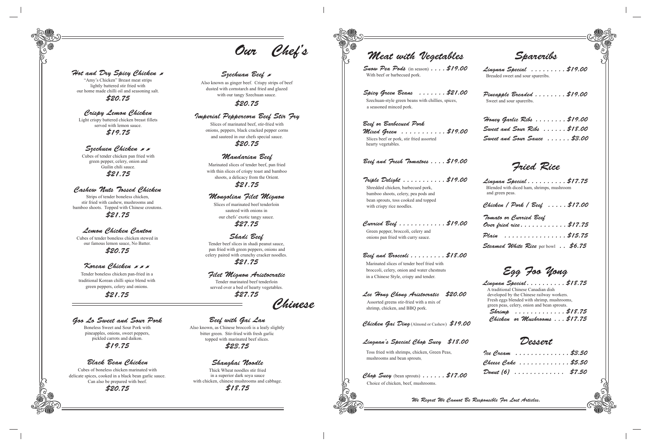Toss fried with shrimps, chicken, Green Peas, mushrooms and bean sprouts.

Chop Suey (bean sprouts)......  $$17.00$ Choice of chicken, beef, mushrooms.

 broccoli, celery, onion and water chestnuts in a Chinese Style, crispy and tender.

### Lingnan's Special Chop Suey \$18.00

### Lee Hong Chong Aristocratic \$20.00

 Assorted greens stir-fried with a mix of shrimp, chicken, and BBQ pork.

Chicken Gai Ding (Almond or Cashew) \$19.00

s C<sup>op</sup>s Meat with Vegetables Spareribs Spicy Green Beans . . . . . . . \$21.00 Szechuan-style green beans with chillies, spices, a seasoned minced pork. Beef or Barbecued Pork Mixed Green ...........\$19.00 Slices beef or pork, stir fried assorted hearty vegetables. Beef and Fresh Tomatoes . . . . \$19.00 Triple Delight . . . . . . . . . . . \$19.00 Shredded chicken, barbecued pork, bamboo shoots, celery, pea pods and bean sprouts, toss cooked and topped with crispy rice noodles. Curried Beef . . . . . . . . . . . . \$19.00 Green pepper, broccoli, celery and onions pan fried with curry sauce. Beef and Broccoli........\$18.00 Marinated slices of tender beef fried with Breaded sweet and sour spareribs. Sweet and sour spareribs. and green peas. Tomato or Curried Beef Fried Rice Snow Pea Pods (in season) . . . . \$19.00 With beef or barbecued pork.

We Regret We Cannot Be Responsible For Lost Articles.

Lingnan Special . . . . . . . . . \$19.00

Pineapple Breaded .......\$19.00

Honey Garlic Ribs . . . . . . . . \$19.00 Sweet and Sour Ribs ...... \$18.00 Sweet and Sour Sauce . . . . . . \$3.00

Lingnan Special . . . . . . . . . . \$17.75 Blended with diced ham, shrimps, mushroom

Chicken / Pork / Beef . . . . . \$17.00

| Tomato or Curried Beef                                   |  |
|----------------------------------------------------------|--|
| Over fried rice\$17.75                                   |  |
| Plain \$15.75                                            |  |
| $\emph{Steamed White Rice}$ per bowl $\emph{.}$ . \$6.75 |  |

Ice Cream . . . . . . . . . . . . . . \$3.50 Cheese Cake ............ \$5.50 Donut (6) . . . . . . . . . . . . . \$7.50

Dessert

Lingnan Special. . . . . . . . . . \$18.75 A traditional Chinese Canadian dish developed by the Chinese railway workers. Fresh eggs blended with shrimp, mushrooms, green peas, celery, onion and bean sprouts. Shrimp . . . . . . . . . . . . . \$18.75

Chicken or Mushrooms . . . \$17.75

Egg Foo Yong

Chinese

## Goo Lo Sweet and Sour Pork

Boneless Sweet and Sour Pork with pineapples, onions, sweet peppers, pickled carrots and daikon. \$19.75

## Black Bean Chicken

Cubes of boneless chicken marinated with delicate spices, cooked in a black bean garlic sauce. Can also be prepared with beef.

\$20.75

Our Chef's

### Szechuan Beef &

## Beef with Gai Lan

Also known, as Chinese broccoli is a leafy slightly bitter green. Stir-fried with fresh garlic topped with marinated beef slices.

\$23.75

### Shanghai Noodle

Thick Wheat noodles stir fried in a superior dark soya sauce with chicken, chinese mushrooms and cabbage.

\$18.75

### Hot and Dry Spicy Chicken &

"Amy's Chicken" Breast meat strips lightly battered stir fried with our home made chilli oil and seasoning salt. \$20.75

### Crispy Lemon Chicken

Light crispy battered chicken breast fillets served with lemon sauce. \$19.75

### Szechuen Chicken & B

Cubes of tender chicken pan fried with green pepper, celery, onion and Guilin chili sauce. \$21.75

## Cashew Nuts Tossed Chicken

Strips of tender boneless chicken, stir fried with cashew, mushrooms and bamboo shoots. Topped with Chinese croutons. \$21.75

## Lemon Chicken Canton

Cubes of tender boneless chicken stewed in our famous lemon sauce, No Batter.

\$20.75

### Korean Chicken & & &

Filet Mignon Aristocratic Tender marinated beef tenderloin served over a bed of hearty vegetables.

\$27.75

## Shadi Beef

Tender beef slices in shadi peanut sauce, pan fried with green peppers, onions and celery paired with crunchy cracker noodles.

\$21.75

### Imperial Peppercorn Beef Stir Fry

Slices of marinated beef, stir-fried with onions, peppers, black cracked pepper corns and sauteed in our chefs special sauce. \$20.75

### Mandarian Beef

Marinated slices of tender beef, pan fried with thin slices of crispy toast and bamboo shoots, a delicacy from the Orient. \$21.75

Also known as ginger beef. Crispy strips of beef dusted with cornstarch and fried and glazed with our tangy Szechuan sauce.

\$20.75

### Mongolian Filet Mignon

Slices of marinated beef tenderloin sauteed with onions in our chefs' exotic tangy sauce. \$27.75

Tender boneless chicken pan-fried in a traditional Korean chilli spice blend with green peppers, celery and onions.

\$21.75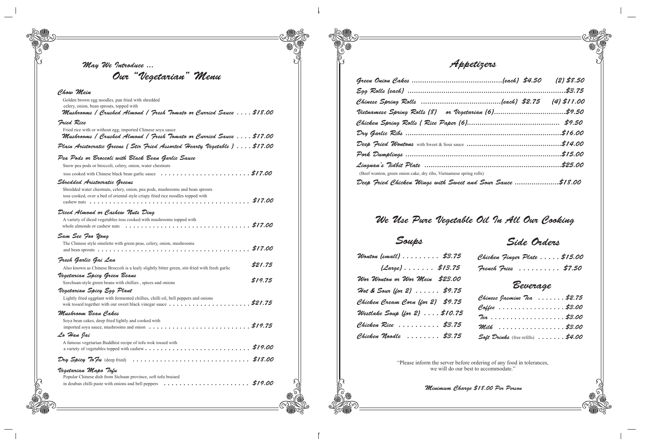Appetizers

| dry ribs, Vietnamese spring rolls)        |  |
|-------------------------------------------|--|
| "lings with Sweet and Sour Sauce \$18.00" |  |

We Use Pure Vegetable Oil In All Our Cooking

|   |              | I<br>I   |  |
|---|--------------|----------|--|
| ٧ | I<br>۰.<br>٧ | ۰.<br>۰. |  |

# Soups Side Orders

### Chow Mein

| . \$3.75                 | Chicken Finger Plate \$15.00                        |
|--------------------------|-----------------------------------------------------|
| $\ldots$ \$13.75         | Freuch Fries $\ldots \ldots \ldots$ \$7.50          |
| Nein \$23.00<br>. \$9.75 | Beverage                                            |
| for 2) \$9.75            | Chinese Jasmine Tea  \$2.75                         |
| $\ldots$ \$10.75         | Coffee \$3.00                                       |
| . \$3.75                 | 7ea \$3.00                                          |
|                          | Milk \$3.00                                         |
| . \$3.75                 | Soft Drinks (free refills) $\ldots \ldots$ , \$4.00 |

| Golden brown egg noodles, pan fried with shredded<br>celery, onion, bean sprouts, topped with<br>Mushrooms / Crushed Almond / Fresh Tomato or Curried Sauce  \$18.00                                    |
|---------------------------------------------------------------------------------------------------------------------------------------------------------------------------------------------------------|
| Fried Rice                                                                                                                                                                                              |
| Fried rice with or without egg, imported Chinese soya sauce<br>Mushrooms / Crushed Almond / Fresh Tomato or Curried Sauce  \$17.00                                                                      |
| Plain Aristocratic Greens ( Stir Fried Assorted Hearty Vegetable )  \$17.00                                                                                                                             |
| Pea Pods or Broccoli with Black Bean Garlic Sauce                                                                                                                                                       |
| Snow pea pods or broccoli, celery, onion, water chestnuts                                                                                                                                               |
| toss cooked with Chinese black bean garlic sauce \$17.00                                                                                                                                                |
| Shredded Aristocratic Greens                                                                                                                                                                            |
| Shredded water chestnuts, celery, onion, pea pods, mushrooms and bean sprouts<br>toss cooked, over a bed of oriental style crispy fried rice noodles topped with                                        |
| Diced Almond or Cashew Nuts Ding<br>A variety of diced vegetables toss cooked with mushrooms topped with<br>whole almonds or cashew nuts                                                                |
| Sam See Foo Yong<br>The Chinese style omelette with green peas, celery, onion, mushrooms                                                                                                                |
| Fresh Garlic Gai Lan                                                                                                                                                                                    |
| \$21.75<br>Also known as Chinese Broccoli is a leafy slightly bitter green, stir-fried with fresh garlic                                                                                                |
| Vegetarian Spicy Green Beans<br>\$19.75<br>Szechuan-style green beans with chillies, spices and onions                                                                                                  |
| Vegetarian Spicy Egg Plant<br>Lightly fried eggplant with fermented chillies, chilli oil, bell peppers and onions<br>\$21.75                                                                            |
| Mushroom Bean Cakes<br>Soya bean cakes, deep fried lightly and cooked with                                                                                                                              |
| Lo Han Jai                                                                                                                                                                                              |
| A famous vegetarian Buddhist recipe of tofu wok tossed with                                                                                                                                             |
|                                                                                                                                                                                                         |
| Vegetarian Mapo Tofu<br>Popular Chinese dish from Sichuan province, soft tofu braised<br>in douban chilli paste with onions and bell peppers $\ldots \ldots \ldots \ldots \ldots \ldots \qquad$ \$19.00 |

Green Onion Cakes ..... Egg Rolls (each) ....... Chinese Spring Rolls Vietnamese Spring Roll Chicken Spring Rolls Dry Garlic Ribs ........ Deep Fried Wontons with Pork Dumplings ....... Lingnan's Tidbit Plate .................................................................\$25.00 (Beef wonton, green onion cake, Deep Fried Chicken Win

Wonton (small)  $\ldots$ .  $(\angle$ arge $)$ .... Wor Wonton or Wor W  $H$ ot & Sour (for  $2$ ). Chicken Cream Corn (f Westlake Soup (for 2) Chicken Rice ..... Chicken Noodle ...

Our "Vegetarian" Menu

May We Introduce ...

"Please inform the server before ordering of any food in tolerances, we will do our best to accommodate."

Minimum Charge \$18.00 Per Person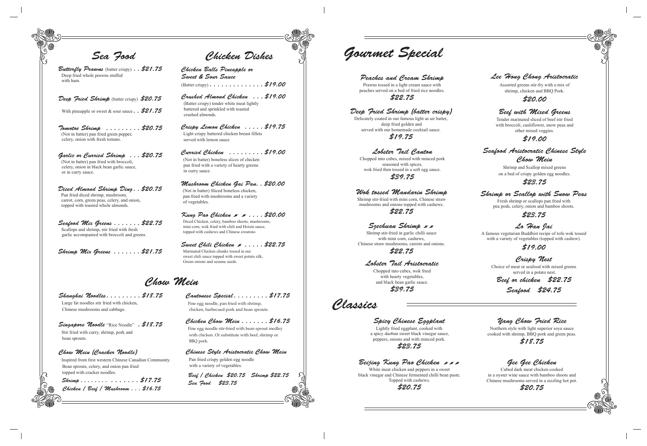Chicken Chow Mein.......\$16.75 Fine egg noodle stir-fried with bean sprout medley with chicken. Or substitute with beef, shrimp or BBQ pork.

Cantonese Special........\$17.75 Fine egg noodle, pan fried with shrimp,

chicken, barbecued pork and bean sprouts.

Singapore Noodle "Rice Noodle" . \$18.75 Stir fried with curry, shrimp, pork and bean sprouts.

> Chinese Style Aristocratic Chow Mein Pan fried crispy golden egg noodle with a variety of vegetables.

Shanghai Noodles. . . . . . . . . \$18.75 Large fat noodles stir fried with chicken, Chinese mushrooms and cabbage.

Butterfly Prawns (batter crispy). . \$21.75 Deep fried whole prawns stuffed with ham.

### Deep Fried Shrimp (batter crispy) \$20.75

With pineapple or sweet & sour sauce  $\therefore$  \$21.75

Chow Mein (Cracker Noodle) Inspired from first western Chinese Canadian Community. Bean sprouts, celery, and onion pan fried topped with cracker noodles.

Seafood Mix Greens ....... \$22.75 Scallops and shrimp, stir fried with fresh garlic accompanied with broccoli and greens.

Chicken Balls Pineapple or Sweet & Sour Sauce (Batter crispy)  $\ldots \ldots \ldots \ldots \ldots$  \$19.00

 Shrimp . . . . . . . . . . . . . . . \$17.75 Chicken / Beef / Mushroom . . . \$16.75

Sweet Chili Chicken  $\overline{\mathscr{S}}$ .....\$22.75 Marinated Chicken chunks tossed in our sweet chili sauce topped with sweet potato silk, Green onions and sesame seeds.

Garlic or Curried Shrimp . . . \$20.75 (Not in batter) pan fried with broccoli, celery, onion in black bean garlic sauce, or in curry sauce.

Diced Almond Shrimp Ding . . \$20.75 Pan fried diced shrimp, mushroom, carrot, corn, green peas, celery, and onion, topped with toasted whole almonds.

> $Kung$  Pao Chicken  $\blacktriangleright$   $\blacktriangleright$   $\ldots$  . \$20.00 Diced Chicken, celery, bamboo shoots, mushrooms, mini corn, wok fried with chili and Hoisin sauce, topped with cashews and Chinese croutons

Shrimp Mix Greens . . . . . . . \$21.75

A famous vegetarian Buddhist recipe of tofu wok tossed with a variety of vegetables (topped with cashew).

Crushed Almond Chicken . . . \$19.00 (Batter crispy) tender white meat lightly battered and sprinkled with toasted crushed almonds.

Crispy Lemon Chicken . . . . . \$19.75 Light crispy battered chicken breast fillets served with lemon sauce

Curried Chicken . . . . . . . . . \$19.00 (Not in batter) boneless slices of chicken pan fried with a variety of hearty greens in curry sauce.

Chow Mein

Sea Food Chicken Dishes Gourmet Special

Tomotoe Shrimp . . . . . . . . . \$20.75 (Not in batter) pan fried green pepper, celery, onion with fresh tomato.

> Beef / Chicken \$20.75 Shrimp \$22.75 Sea Food \$23.75

Szechuan Shrimp & **x** Shrimp stir-fried in garlic chilli sauce

with mini corn, cashews. Chinese straw mushrooms, carrots and onions.

Mushroom Chicken Gai Pan. . \$20.00 *(Not in batter)* Sliced boneless chicken, pan fried with mushrooms and a variety of vegetables.

Peaches and Cream Shrimp Prawns tossed in a light cream sauce with peaches served on a bed of fried rice noodles. \$22.75

Deep Fried Shrimp (batter crispy) Delicately coated in our famous light as air batter, deep fried golden and served with our homemade cocktail sauce. \$19.75

Lobster Tail Canton Chopped into cubes, mixed with minced pork seasoned with spices, wok fried then tossed in a soft egg sauce.

\$39.75

## Shrimp or Scallop with Snow Peas

Fresh shrimp or scallops pan fried with pea pods, celery, onion and bamboo shoots.

## \$23.75

## Lo Han Jai

## \$19.00

Crispy Nest Choice of meat or seafood with mixed greens served in a potato nest.

Beef or chicken \$22.75 Seafood \$24.75

## Beef with Mixed Greens

Tender marinated sliced of beef stir fried with broccoli, cauliflower, snow peas and other mixed veggies.

## \$19.00

Seafood Aristocratic Chinese Style Chow Mein

> Shrimp and Scallop mixed greens on a bed of crispy golden egg noodles.

## \$23.75

Lobster Tail Aristocratic

Chopped into cubes, wok fried with hearty vegetables, and black bean garlic sauce.

\$39.75

## Lee Hong Chong Aristocratic

Assorted greens stir-fry with a mix of shrimp, chicken and BBQ Pork.

### \$20.00

## Yang Chow Fried Rice

Northern style with light superior soya sauce cooked with shrimp, BBQ pork and green peas.

\$18.75

## Gee Gee Chicken

Cubed dark meat chicken cooked in a oyster wine sauce with bamboo shoots and Chinese mushrooms served in a sizzling hot pot.



Spicy Chinese Eggplant

Lightly fried eggplant, cooked with a spicy daoban sweet black vinegar sauce, peppers, onions and with minced pork. \$23.75

Beijing Kung Pao Chicken ,,, White meat chicken and peppers in a sweet black vinegar and Chinese fermented chilli bean paste. Topped with cashews. \$20.75

Classics

Wok tossed Mandarin Shrimp Shrimp stir-fried with mini corn, Chinese straw mushrooms and onions topped with cashews. \$22.75

\$22.75